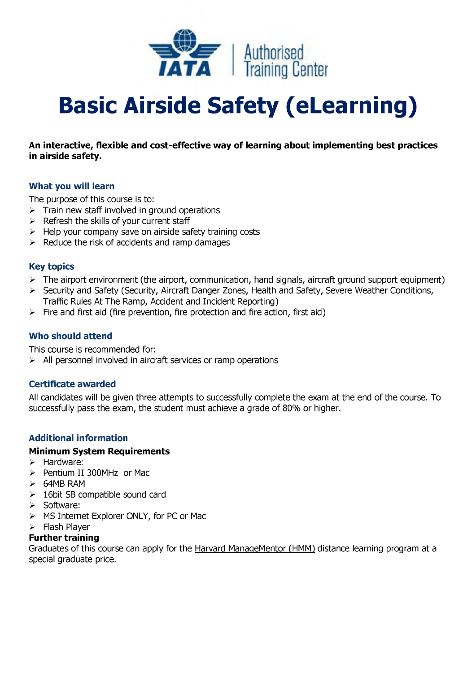

# **Basic Airside Safety (eLearning)**

# **An interactive, flexible and cost-effective way of learning about implementing best practices in airside safety.**

#### **What you will learn**

The purpose of this course is to:

- $\triangleright$  Train new staff involved in ground operations
- $\triangleright$  Refresh the skills of your current staff
- $\triangleright$  Help your company save on airside safety training costs
- $\triangleright$  Reduce the risk of accidents and ramp damages

# **Key topics**

- $\triangleright$  The airport environment (the airport, communication, hand signals, aircraft ground support equipment)
- > Security and Safety (Security, Aircraft Danger Zones, Health and Safety, Severe Weather Conditions, Traffic Rules At The Ramp, Accident and Incident Reporting)
- $\triangleright$  Fire and first aid (fire prevention, fire protection and fire action, first aid)

#### **Who should attend**

This course is recommended for:

 $\triangleright$  All personnel involved in aircraft services or ramp operations

# **Certificate awarded**

All candidates will be given three attempts to successfully complete the exam at the end of the course. To successfully pass the exam, the student must achieve a grade of 80% or higher.

# **Additional information**

#### **Minimum System Requirements**

- $\triangleright$  Hardware:
- > Pentium II 300MHz or Mac
- > 64MB RAM
- $\geq$  16bit SB compatible sound card
- > Software:
- > MS Internet Explorer ONLY, for PC or Mac
- $\triangleright$  Flash Player

# **Further training**

Graduates of this course can apply for the [Harvard ManageMentor \(HMM\)](https://www.iataonline.com/Store/Products/Product+Detail.htm?cs_id=8650-01&cs_catalog=Publications) distance learning program at a special graduate price.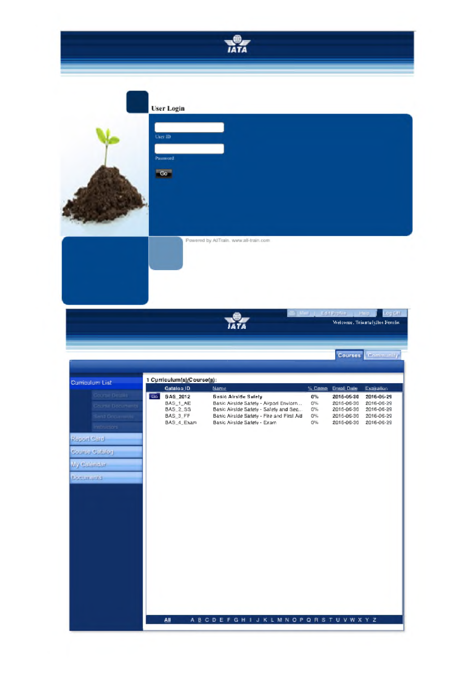

#### **User Login**





Powered by AllTrain, www.all-train.com

 $\frac{1}{14}$ 

Edit Profile L. L. Hole

Wetcome, Triuntufyllos Ferelis

Log Diff. W.



All A B C D E F G H I J K L M N O P Q R S T U V W X Y Z